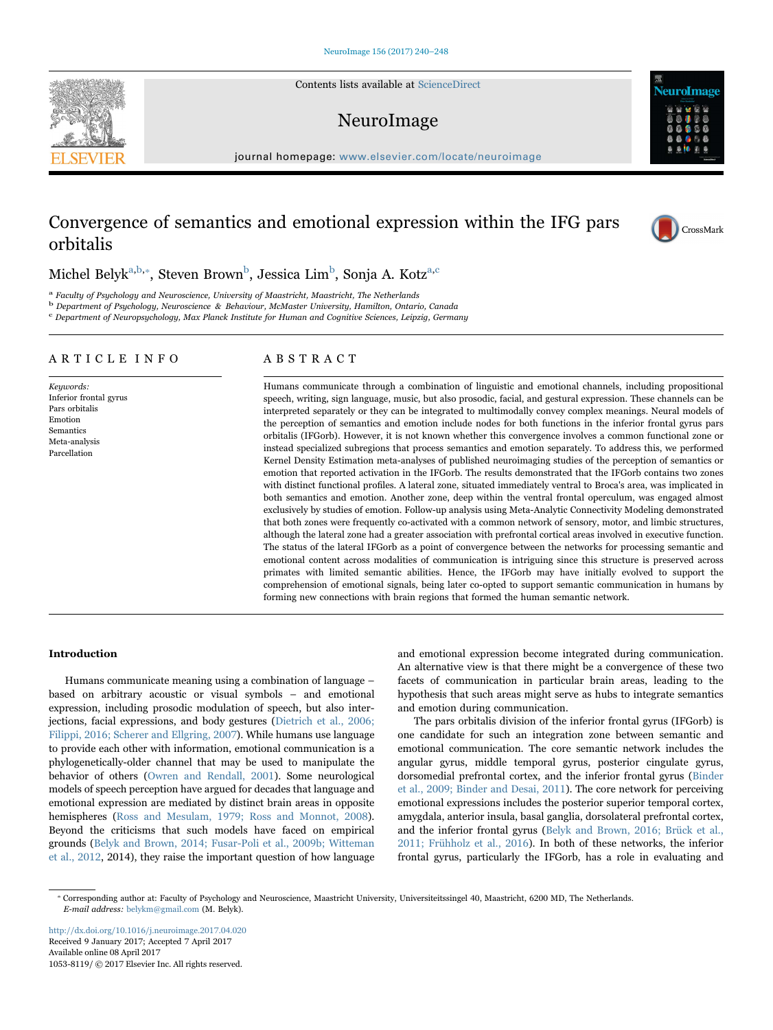Contents lists available at [ScienceDirect](http://www.sciencedirect.com/science/journal/10538119)

# NeuroImage

journal homepage: [www.elsevier.com/locate/neuroimage](http://www.elsevier.com/locate/neuroimage)

# Convergence of semantics and emotional expression within the IFG pars orbitalis

Mi[c](#page-0-3)hel Belyk $^{\mathrm{a,b,*}},$  $^{\mathrm{a,b,*}},$  $^{\mathrm{a,b,*}},$  $^{\mathrm{a,b,*}},$  Steven Brown $^{\mathrm{b}},$  Jessica Lim $^{\mathrm{b}},$  Sonja A. Kotz $^{\mathrm{a,c}}$ 

<span id="page-0-0"></span><sup>a</sup> Faculty of Psychology and Neuroscience, University of Maastricht, Maastricht, The Netherlands

<span id="page-0-1"></span>b Department of Psychology, Neuroscience & Behaviour, McMaster University, Hamilton, Ontario, Canada c<br>C Department of Neuropsychology, Max Planck Institute for Human and Cognitive Sciences, Leipzig, Germany

<span id="page-0-3"></span>

# ARTICLE INFO

Keywords: Inferior frontal gyrus Pars orbitalis Emotion Semantics Meta-analysis Parcellation

# ABSTRACT

Humans communicate through a combination of linguistic and emotional channels, including propositional speech, writing, sign language, music, but also prosodic, facial, and gestural expression. These channels can be interpreted separately or they can be integrated to multimodally convey complex meanings. Neural models of the perception of semantics and emotion include nodes for both functions in the inferior frontal gyrus pars orbitalis (IFGorb). However, it is not known whether this convergence involves a common functional zone or instead specialized subregions that process semantics and emotion separately. To address this, we performed Kernel Density Estimation meta-analyses of published neuroimaging studies of the perception of semantics or emotion that reported activation in the IFGorb. The results demonstrated that the IFGorb contains two zones with distinct functional profiles. A lateral zone, situated immediately ventral to Broca's area, was implicated in both semantics and emotion. Another zone, deep within the ventral frontal operculum, was engaged almost exclusively by studies of emotion. Follow-up analysis using Meta-Analytic Connectivity Modeling demonstrated that both zones were frequently co-activated with a common network of sensory, motor, and limbic structures, although the lateral zone had a greater association with prefrontal cortical areas involved in executive function. The status of the lateral IFGorb as a point of convergence between the networks for processing semantic and emotional content across modalities of communication is intriguing since this structure is preserved across primates with limited semantic abilities. Hence, the IFGorb may have initially evolved to support the comprehension of emotional signals, being later co-opted to support semantic communication in humans by forming new connections with brain regions that formed the human semantic network.

# Introduction

Humans communicate meaning using a combination of language – based on arbitrary acoustic or visual symbols – and emotional expression, including prosodic modulation of speech, but also interjections, facial expressions, and body gestures [\(Dietrich et al., 2006;](#page-6-0) [Filippi, 2016; Scherer and Ellgring, 2007](#page-6-0)). While humans use language to provide each other with information, emotional communication is a phylogenetically-older channel that may be used to manipulate the behavior of others ([Owren and Rendall, 2001](#page-7-0)). Some neurological models of speech perception have argued for decades that language and emotional expression are mediated by distinct brain areas in opposite hemispheres ([Ross and Mesulam, 1979; Ross and Monnot, 2008\)](#page-7-1). Beyond the criticisms that such models have faced on empirical grounds [\(Belyk and Brown, 2014; Fusar-Poli et al., 2009b; Witteman](#page-6-1) [et al., 2012,](#page-6-1) 2014), they raise the important question of how language and emotional expression become integrated during communication. An alternative view is that there might be a convergence of these two facets of communication in particular brain areas, leading to the hypothesis that such areas might serve as hubs to integrate semantics and emotion during communication.

The pars orbitalis division of the inferior frontal gyrus (IFGorb) is one candidate for such an integration zone between semantic and emotional communication. The core semantic network includes the angular gyrus, middle temporal gyrus, posterior cingulate gyrus, dorsomedial prefrontal cortex, and the inferior frontal gyrus ([Binder](#page-6-2) [et al., 2009; Binder and Desai, 2011](#page-6-2)). The core network for perceiving emotional expressions includes the posterior superior temporal cortex, amygdala, anterior insula, basal ganglia, dorsolateral prefrontal cortex, and the inferior frontal gyrus ([Belyk and Brown, 2016; Brück et al.,](#page-6-3) [2011; Frühholz et al., 2016](#page-6-3)). In both of these networks, the inferior frontal gyrus, particularly the IFGorb, has a role in evaluating and

<http://dx.doi.org/10.1016/j.neuroimage.2017.04.020> Received 9 January 2017; Accepted 7 April 2017 Available online 08 April 2017 1053-8119/ © 2017 Elsevier Inc. All rights reserved.







<span id="page-0-2"></span><sup>⁎</sup> Corresponding author at: Faculty of Psychology and Neuroscience, Maastricht University, Universiteitssingel 40, Maastricht, 6200 MD, The Netherlands. E-mail address: belykm@gmail.com (M. Belyk).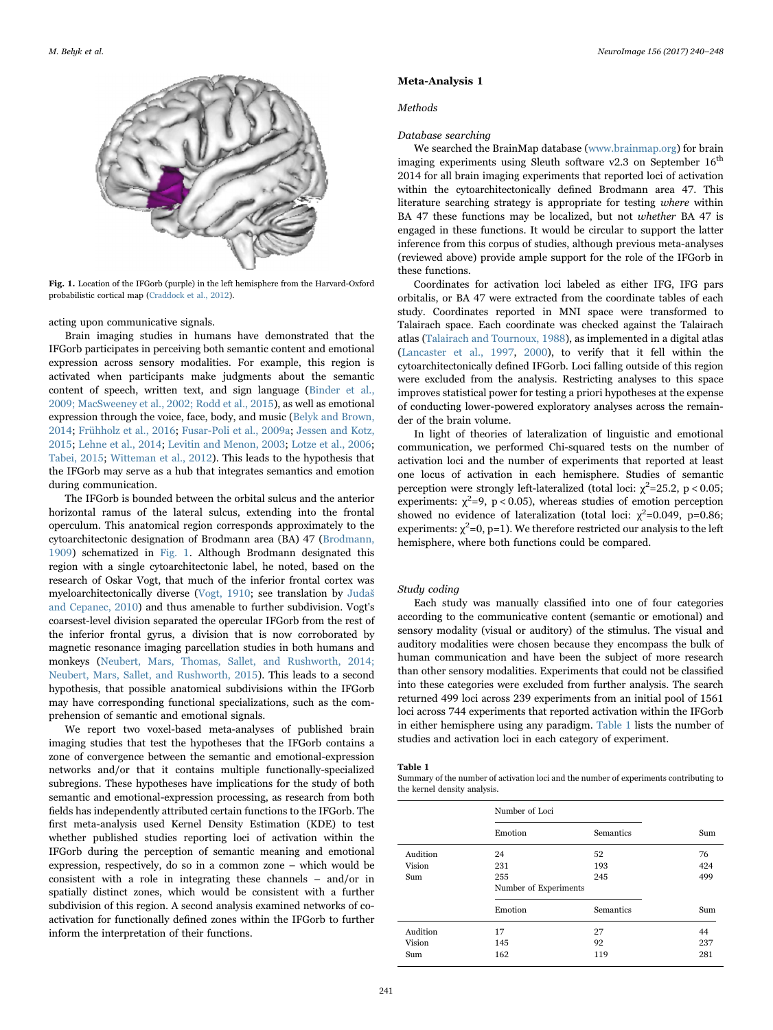<span id="page-1-0"></span>

Fig. 1. Location of the IFGorb (purple) in the left hemisphere from the Harvard-Oxford probabilistic cortical map [\(Craddock et al., 2012\)](#page-6-5).

acting upon communicative signals.

Brain imaging studies in humans have demonstrated that the IFGorb participates in perceiving both semantic content and emotional expression across sensory modalities. For example, this region is activated when participants make judgments about the semantic content of speech, written text, and sign language [\(Binder et al.,](#page-6-2) [2009; MacSweeney et al., 2002; Rodd et al., 2015](#page-6-2)), as well as emotional expression through the voice, face, body, and music ([Belyk and Brown,](#page-6-1) [2014;](#page-6-1) [Frühholz et al., 2016](#page-7-2); [Fusar-Poli et al., 2009a;](#page-7-3) [Jessen and Kotz,](#page-7-4) [2015;](#page-7-4) [Lehne et al., 2014;](#page-7-5) [Levitin and Menon, 2003;](#page-7-6) [Lotze et al., 2006](#page-7-7); [Tabei, 2015;](#page-7-8) [Witteman et al., 2012\)](#page-8-0). This leads to the hypothesis that the IFGorb may serve as a hub that integrates semantics and emotion during communication.

The IFGorb is bounded between the orbital sulcus and the anterior horizontal ramus of the lateral sulcus, extending into the frontal operculum. This anatomical region corresponds approximately to the cytoarchitectonic designation of Brodmann area (BA) 47 ([Brodmann,](#page-6-4) [1909\)](#page-6-4) schematized in [Fig. 1.](#page-1-0) Although Brodmann designated this region with a single cytoarchitectonic label, he noted, based on the research of Oskar Vogt, that much of the inferior frontal cortex was myeloarchitectonically diverse ([Vogt, 1910;](#page-8-1) see translation by [Juda](#page-7-9)š [and Cepanec, 2010](#page-7-9)) and thus amenable to further subdivision. Vogt's coarsest-level division separated the opercular IFGorb from the rest of the inferior frontal gyrus, a division that is now corroborated by magnetic resonance imaging parcellation studies in both humans and monkeys ([Neubert, Mars, Thomas, Sallet, and Rushworth, 2014;](#page-7-10) [Neubert, Mars, Sallet, and Rushworth, 2015\)](#page-7-10). This leads to a second hypothesis, that possible anatomical subdivisions within the IFGorb may have corresponding functional specializations, such as the comprehension of semantic and emotional signals.

We report two voxel-based meta-analyses of published brain imaging studies that test the hypotheses that the IFGorb contains a zone of convergence between the semantic and emotional-expression networks and/or that it contains multiple functionally-specialized subregions. These hypotheses have implications for the study of both semantic and emotional-expression processing, as research from both fields has independently attributed certain functions to the IFGorb. The first meta-analysis used Kernel Density Estimation (KDE) to test whether published studies reporting loci of activation within the IFGorb during the perception of semantic meaning and emotional expression, respectively, do so in a common zone – which would be consistent with a role in integrating these channels – and/or in spatially distinct zones, which would be consistent with a further subdivision of this region. A second analysis examined networks of coactivation for functionally defined zones within the IFGorb to further inform the interpretation of their functions.

#### Meta-Analysis 1

#### **Methods**

#### Database searching

We searched the BrainMap database [\(www.brainmap.org](http://www.brainmap.org)) for brain imaging experiments using Sleuth software v2.3 on September  $16<sup>th</sup>$ 2014 for all brain imaging experiments that reported loci of activation within the cytoarchitectonically defined Brodmann area 47. This literature searching strategy is appropriate for testing where within BA 47 these functions may be localized, but not whether BA 47 is engaged in these functions. It would be circular to support the latter inference from this corpus of studies, although previous meta-analyses (reviewed above) provide ample support for the role of the IFGorb in these functions.

Coordinates for activation loci labeled as either IFG, IFG pars orbitalis, or BA 47 were extracted from the coordinate tables of each study. Coordinates reported in MNI space were transformed to Talairach space. Each coordinate was checked against the Talairach atlas [\(Talairach and Tournoux, 1988\)](#page-7-11), as implemented in a digital atlas ([Lancaster et al., 1997](#page-7-12), [2000\)](#page-7-13), to verify that it fell within the cytoarchitectonically defined IFGorb. Loci falling outside of this region were excluded from the analysis. Restricting analyses to this space improves statistical power for testing a priori hypotheses at the expense of conducting lower-powered exploratory analyses across the remainder of the brain volume.

In light of theories of lateralization of linguistic and emotional communication, we performed Chi-squared tests on the number of activation loci and the number of experiments that reported at least one locus of activation in each hemisphere. Studies of semantic perception were strongly left-lateralized (total loci:  $\chi^2$ =25.2, p < 0.05; experiments:  $\chi^2$ =9, p < 0.05), whereas studies of emotion perception showed no evidence of lateralization (total loci:  $\chi^2$ =0.049, p=0.86; experiments:  $\chi^2$ =0, p=1). We therefore restricted our analysis to the left hemisphere, where both functions could be compared.

## Study coding

Each study was manually classified into one of four categories according to the communicative content (semantic or emotional) and sensory modality (visual or auditory) of the stimulus. The visual and auditory modalities were chosen because they encompass the bulk of human communication and have been the subject of more research than other sensory modalities. Experiments that could not be classified into these categories were excluded from further analysis. The search returned 499 loci across 239 experiments from an initial pool of 1561 loci across 744 experiments that reported activation within the IFGorb in either hemisphere using any paradigm. [Table 1](#page-1-1) lists the number of studies and activation loci in each category of experiment.

#### <span id="page-1-1"></span>Table 1

Summary of the number of activation loci and the number of experiments contributing to the kernel density analysis.

|          | Number of Loci        |           |     |
|----------|-----------------------|-----------|-----|
|          | Emotion               | Semantics | Sum |
| Audition | 24                    | 52        | 76  |
| Vision   | 231                   | 193       | 424 |
| Sum      | 255                   | 245       | 499 |
|          | Number of Experiments |           |     |
|          | Emotion               | Semantics | Sum |
| Audition | 17                    | 27        | 44  |
| Vision   | 145                   | 92        | 237 |
| Sum      | 162                   | 119       | 281 |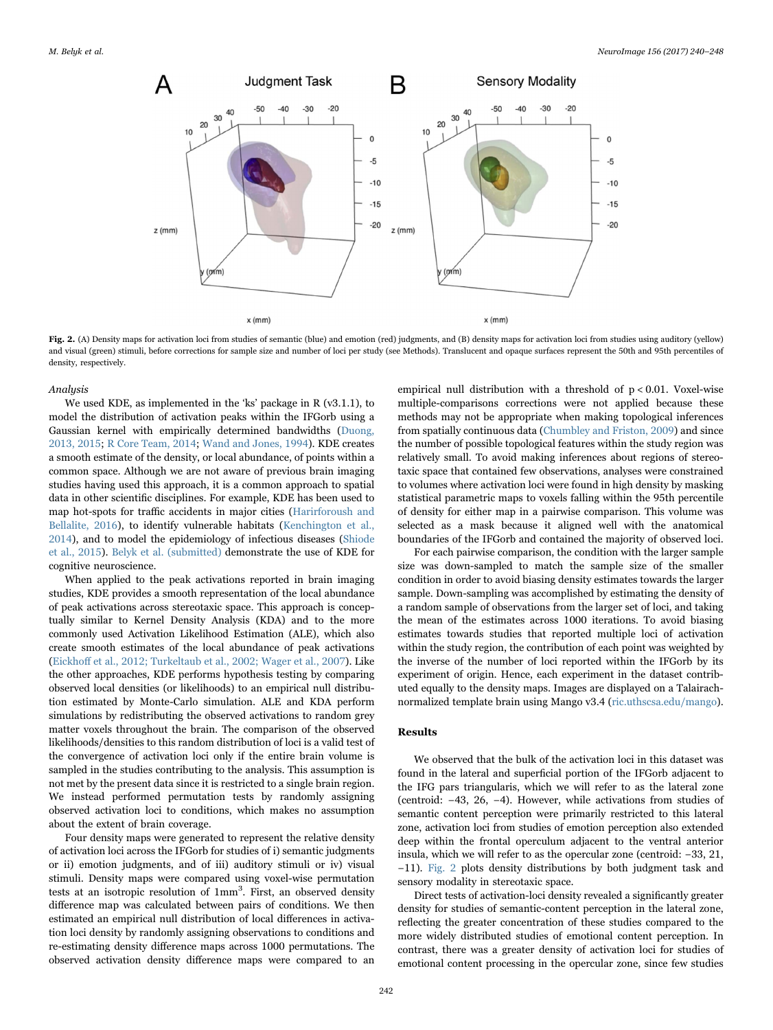<span id="page-2-0"></span>

Fig. 2. (A) Density maps for activation loci from studies of semantic (blue) and emotion (red) judgments, and (B) density maps for activation loci from studies using auditory (yellow) and visual (green) stimuli, before corrections for sample size and number of loci per study (see Methods). Translucent and opaque surfaces represent the 50th and 95th percentiles of density, respectively.

#### Analysis

We used KDE, as implemented in the 'ks' package in R (v3.1.1), to model the distribution of activation peaks within the IFGorb using a Gaussian kernel with empirically determined bandwidths ([Duong,](#page-6-6) [2013, 2015;](#page-6-6) [R Core Team, 2014](#page-7-14); [Wand and Jones, 1994\)](#page-8-2). KDE creates a smooth estimate of the density, or local abundance, of points within a common space. Although we are not aware of previous brain imaging studies having used this approach, it is a common approach to spatial data in other scientific disciplines. For example, KDE has been used to map hot-spots for traffic accidents in major cities ([Harirforoush and](#page-7-15) [Bellalite, 2016\)](#page-7-15), to identify vulnerable habitats [\(Kenchington et al.,](#page-7-16) [2014\)](#page-7-16), and to model the epidemiology of infectious diseases ([Shiode](#page-7-17) [et al., 2015](#page-7-17)). [Belyk et al. \(submitted\)](#page-6-7) demonstrate the use of KDE for cognitive neuroscience.

When applied to the peak activations reported in brain imaging studies, KDE provides a smooth representation of the local abundance of peak activations across stereotaxic space. This approach is conceptually similar to Kernel Density Analysis (KDA) and to the more commonly used Activation Likelihood Estimation (ALE), which also create smooth estimates of the local abundance of peak activations (Eickhoff [et al., 2012; Turkeltaub et al., 2002; Wager et al., 2007](#page-6-8)). Like the other approaches, KDE performs hypothesis testing by comparing observed local densities (or likelihoods) to an empirical null distribution estimated by Monte-Carlo simulation. ALE and KDA perform simulations by redistributing the observed activations to random grey matter voxels throughout the brain. The comparison of the observed likelihoods/densities to this random distribution of loci is a valid test of the convergence of activation loci only if the entire brain volume is sampled in the studies contributing to the analysis. This assumption is not met by the present data since it is restricted to a single brain region. We instead performed permutation tests by randomly assigning observed activation loci to conditions, which makes no assumption about the extent of brain coverage.

Four density maps were generated to represent the relative density of activation loci across the IFGorb for studies of i) semantic judgments or ii) emotion judgments, and of iii) auditory stimuli or iv) visual stimuli. Density maps were compared using voxel-wise permutation tests at an isotropic resolution of 1mm<sup>3</sup>. First, an observed density difference map was calculated between pairs of conditions. We then estimated an empirical null distribution of local differences in activation loci density by randomly assigning observations to conditions and re-estimating density difference maps across 1000 permutations. The observed activation density difference maps were compared to an empirical null distribution with a threshold of  $p < 0.01$ . Voxel-wise multiple-comparisons corrections were not applied because these methods may not be appropriate when making topological inferences from spatially continuous data ([Chumbley and Friston, 2009\)](#page-6-9) and since the number of possible topological features within the study region was relatively small. To avoid making inferences about regions of stereotaxic space that contained few observations, analyses were constrained to volumes where activation loci were found in high density by masking statistical parametric maps to voxels falling within the 95th percentile of density for either map in a pairwise comparison. This volume was selected as a mask because it aligned well with the anatomical boundaries of the IFGorb and contained the majority of observed loci.

For each pairwise comparison, the condition with the larger sample size was down-sampled to match the sample size of the smaller condition in order to avoid biasing density estimates towards the larger sample. Down-sampling was accomplished by estimating the density of a random sample of observations from the larger set of loci, and taking the mean of the estimates across 1000 iterations. To avoid biasing estimates towards studies that reported multiple loci of activation within the study region, the contribution of each point was weighted by the inverse of the number of loci reported within the IFGorb by its experiment of origin. Hence, each experiment in the dataset contributed equally to the density maps. Images are displayed on a Talairachnormalized template brain using Mango v3.4 ([ric.uthscsa.edu/mango\)](http://ric.uthscsa.edu/mango).

## Results

We observed that the bulk of the activation loci in this dataset was found in the lateral and superficial portion of the IFGorb adjacent to the IFG pars triangularis, which we will refer to as the lateral zone (centroid: −43, 26, −4). However, while activations from studies of semantic content perception were primarily restricted to this lateral zone, activation loci from studies of emotion perception also extended deep within the frontal operculum adjacent to the ventral anterior insula, which we will refer to as the opercular zone (centroid: −33, 21, −11). [Fig. 2](#page-2-0) plots density distributions by both judgment task and sensory modality in stereotaxic space.

Direct tests of activation-loci density revealed a significantly greater density for studies of semantic-content perception in the lateral zone, reflecting the greater concentration of these studies compared to the more widely distributed studies of emotional content perception. In contrast, there was a greater density of activation loci for studies of emotional content processing in the opercular zone, since few studies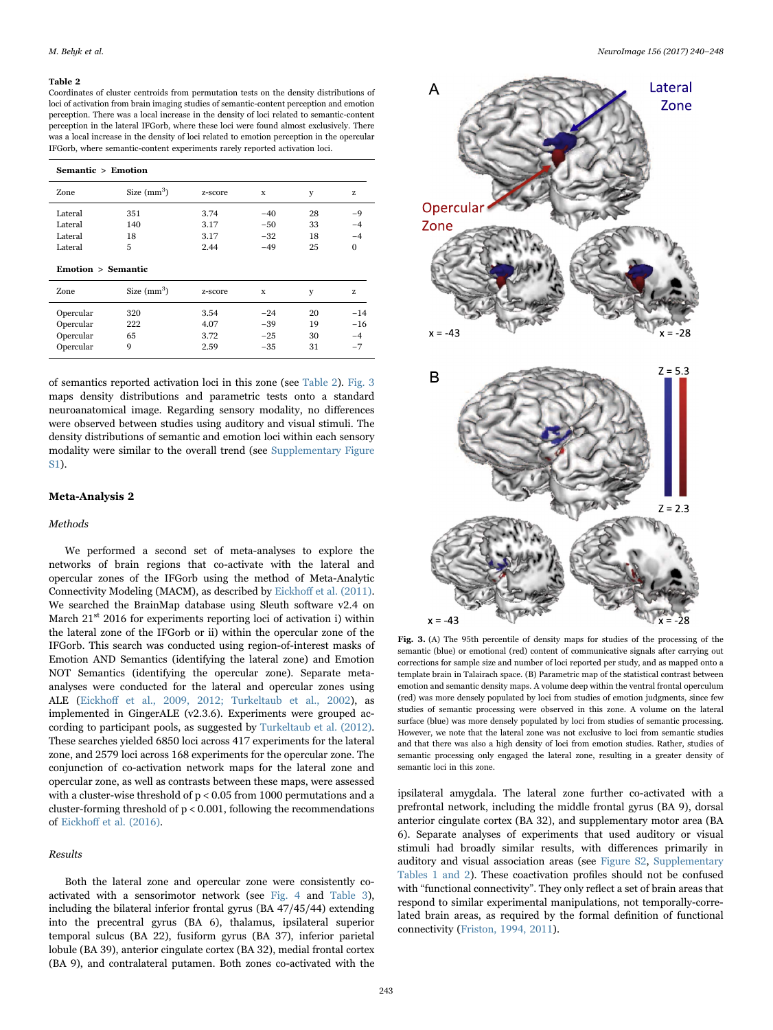#### <span id="page-3-0"></span>Table 2

Coordinates of cluster centroids from permutation tests on the density distributions of loci of activation from brain imaging studies of semantic-content perception and emotion perception. There was a local increase in the density of loci related to semantic-content perception in the lateral IFGorb, where these loci were found almost exclusively. There was a local increase in the density of loci related to emotion perception in the opercular IFGorb, where semantic-content experiments rarely reported activation loci.

| Semantic > Emotion |                      |         |       |    |          |  |  |
|--------------------|----------------------|---------|-------|----|----------|--|--|
| Zone               | Size $(mm3)$         | z-score | X     | y  | z        |  |  |
| Lateral            | 351                  | 3.74    | $-40$ | 28 | $-9$     |  |  |
| Lateral            | 140                  | 3.17    | $-50$ | 33 | $-4$     |  |  |
| Lateral            | 18                   | 3.17    | $-32$ | 18 | $-4$     |  |  |
| Lateral            | 5                    | 2.44    | $-49$ | 25 | $\Omega$ |  |  |
| Emotion > Semantic |                      |         |       |    |          |  |  |
| Zone               | Size $\text{(mm}^3)$ | z-score | X     | y  | Z.       |  |  |
| Opercular          | 320                  | 3.54    | $-24$ | 20 | $-14$    |  |  |
| Opercular          | 222                  | 4.07    | $-39$ | 19 | $-16$    |  |  |
| Opercular          | 65                   | 3.72    | $-25$ | 30 | $-4$     |  |  |
| Opercular          | 9                    | 2.59    | $-35$ | 31 | $-7$     |  |  |
|                    |                      |         |       |    |          |  |  |

of semantics reported activation loci in this zone (see [Table 2](#page-3-0)). [Fig. 3](#page-3-1) maps density distributions and parametric tests onto a standard neuroanatomical image. Regarding sensory modality, no differences were observed between studies using auditory and visual stimuli. The density distributions of semantic and emotion loci within each sensory modality were similar to the overall trend (see Supplementary Figure S1).

#### Meta-Analysis 2

#### **Methods**

We performed a second set of meta-analyses to explore the networks of brain regions that co-activate with the lateral and opercular zones of the IFGorb using the method of Meta-Analytic Connectivity Modeling (MACM), as described by Eickhoff [et al. \(2011\).](#page-7-18) We searched the BrainMap database using Sleuth software v2.4 on March 21<sup>st</sup> 2016 for experiments reporting loci of activation i) within the lateral zone of the IFGorb or ii) within the opercular zone of the IFGorb. This search was conducted using region-of-interest masks of Emotion AND Semantics (identifying the lateral zone) and Emotion NOT Semantics (identifying the opercular zone). Separate metaanalyses were conducted for the lateral and opercular zones using ALE (Eickhoff [et al., 2009, 2012; Turkeltaub et al., 2002](#page-7-19)), as implemented in GingerALE (v2.3.6). Experiments were grouped according to participant pools, as suggested by [Turkeltaub et al. \(2012\).](#page-8-3) These searches yielded 6850 loci across 417 experiments for the lateral zone, and 2579 loci across 168 experiments for the opercular zone. The conjunction of co-activation network maps for the lateral zone and opercular zone, as well as contrasts between these maps, were assessed with a cluster-wise threshold of p < 0.05 from 1000 permutations and a cluster-forming threshold of  $p < 0.001$ , following the recommendations of Eickhoff [et al. \(2016\)](#page-7-20).

#### Results

Both the lateral zone and opercular zone were consistently coactivated with a sensorimotor network (see [Fig. 4](#page-4-0) and [Table 3\)](#page-4-1), including the bilateral inferior frontal gyrus (BA 47/45/44) extending into the precentral gyrus (BA 6), thalamus, ipsilateral superior temporal sulcus (BA 22), fusiform gyrus (BA 37), inferior parietal lobule (BA 39), anterior cingulate cortex (BA 32), medial frontal cortex (BA 9), and contralateral putamen. Both zones co-activated with the

<span id="page-3-1"></span>

Fig. 3. (A) The 95th percentile of density maps for studies of the processing of the semantic (blue) or emotional (red) content of communicative signals after carrying out corrections for sample size and number of loci reported per study, and as mapped onto a template brain in Talairach space. (B) Parametric map of the statistical contrast between emotion and semantic density maps. A volume deep within the ventral frontal operculum (red) was more densely populated by loci from studies of emotion judgments, since few studies of semantic processing were observed in this zone. A volume on the lateral surface (blue) was more densely populated by loci from studies of semantic processing. However, we note that the lateral zone was not exclusive to loci from semantic studies and that there was also a high density of loci from emotion studies. Rather, studies of semantic processing only engaged the lateral zone, resulting in a greater density of semantic loci in this zone.

ipsilateral amygdala. The lateral zone further co-activated with a prefrontal network, including the middle frontal gyrus (BA 9), dorsal anterior cingulate cortex (BA 32), and supplementary motor area (BA 6). Separate analyses of experiments that used auditory or visual stimuli had broadly similar results, with differences primarily in auditory and visual association areas (see Figure S2, Supplementary Tables 1 and 2). These coactivation profiles should not be confused with "functional connectivity". They only reflect a set of brain areas that respond to similar experimental manipulations, not temporally-correlated brain areas, as required by the formal definition of functional connectivity [\(Friston, 1994, 2011](#page-7-21)).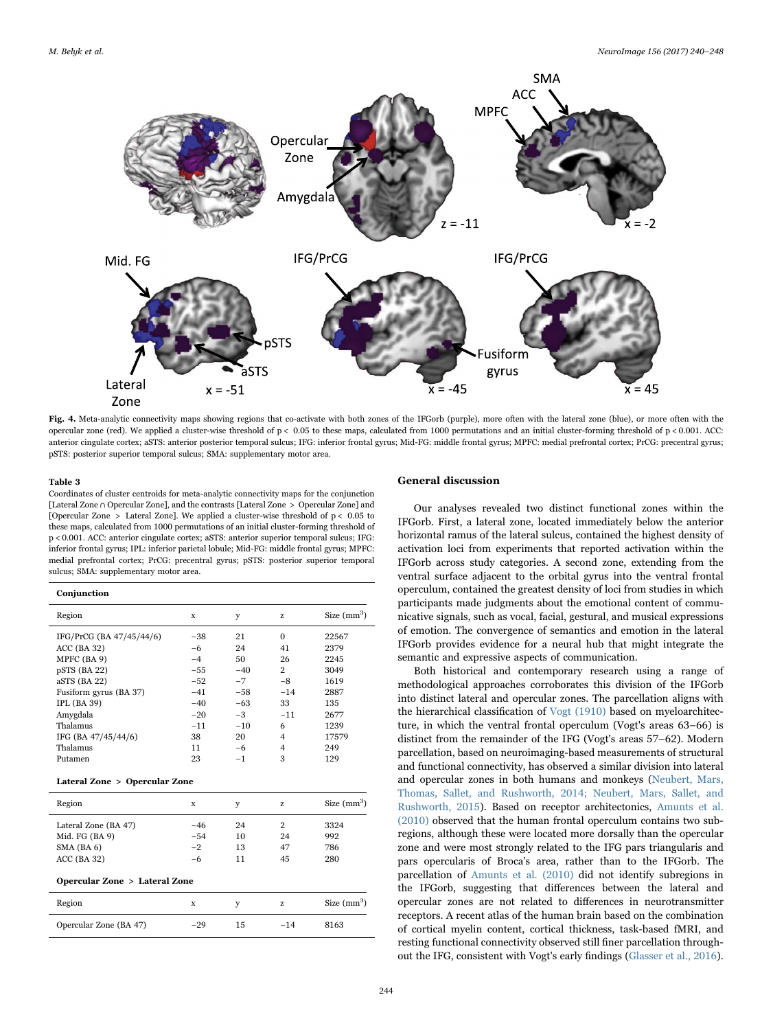<span id="page-4-0"></span>

Fig. 4. Meta-analytic connectivity maps showing regions that co-activate with both zones of the IFGorb (purple), more often with the lateral zone (blue), or more often with the opercular zone (red). We applied a cluster-wise threshold of p < 0.05 to these maps, calculated from 1000 permutations and an initial cluster-forming threshold of p < 0.001. ACC: anterior cingulate cortex; aSTS: anterior posterior temporal sulcus; IFG: inferior frontal gyrus; Mid-FG: middle frontal gyrus; MPFC: medial prefrontal cortex; PrCG: precentral gyrus; pSTS: posterior superior temporal sulcus; SMA: supplementary motor area.

#### <span id="page-4-1"></span>Table 3

Coordinates of cluster centroids for meta-analytic connectivity maps for the conjunction [Lateral Zone ∩ Opercular Zone], and the contrasts [Lateral Zone > Opercular Zone] and [Opercular Zone > Lateral Zone]. We applied a cluster-wise threshold of  $p < 0.05$  to these maps, calculated from 1000 permutations of an initial cluster-forming threshold of p < 0.001. ACC: anterior cingulate cortex; aSTS: anterior superior temporal sulcus; IFG: inferior frontal gyrus; IPL: inferior parietal lobule; Mid-FG: middle frontal gyrus; MPFC: medial prefrontal cortex; PrCG: precentral gyrus; pSTS: posterior superior temporal sulcus; SMA: supplementary motor area.

| Conjunction                             |             |       |                |              |  |  |  |
|-----------------------------------------|-------------|-------|----------------|--------------|--|--|--|
| Region                                  | X           | y     | z              | Size $(mm3)$ |  |  |  |
| IFG/PrCG (BA 47/45/44/6)                | $-38$       | 21    | $\mathbf{0}$   | 22567        |  |  |  |
| $ACC$ (BA 32)                           | -6          | 24    | 41             | 2379         |  |  |  |
| MPFC (BA 9)                             | $-4$        | 50    | 26             | 2245         |  |  |  |
| pSTS (BA 22)                            | $-55$       | $-40$ | $\overline{2}$ | 3049         |  |  |  |
| aSTS (BA 22)                            | $-52$       | $-7$  | $-8$           | 1619         |  |  |  |
| Fusiform gyrus (BA 37)                  | $-41$       | $-58$ | $-14$          | 2887         |  |  |  |
| <b>IPL</b> (BA 39)                      | $-40$       | $-63$ | 33             | 135          |  |  |  |
| Amygdala                                | $-20$       | $-3$  | $-11$          | 2677         |  |  |  |
| Thalamus                                | $-11$       | $-10$ | 6              | 1239         |  |  |  |
| IFG (BA 47/45/44/6)                     | 38          | 20    | $\overline{4}$ | 17579        |  |  |  |
| Thalamus                                | 11          | $-6$  | $\overline{4}$ | 249          |  |  |  |
| Putamen                                 | 23          | $-1$  | 3              | 129          |  |  |  |
| Lateral Zone > Opercular Zone           |             |       |                |              |  |  |  |
| Region                                  | $\mathbf x$ | y     | z              | Size $(mm3)$ |  |  |  |
| Lateral Zone (BA 47)                    | $-46$       | 24    | $\overline{2}$ | 3324         |  |  |  |
| Mid. FG (BA 9)                          | $-54$       | 10    | 24             | 992          |  |  |  |
| SMA (BA 6)                              | $-2$        | 13    | 47             | 786          |  |  |  |
| $ACC$ (BA 32)                           | $-6$        | 11    | 45             | 280          |  |  |  |
| <b>Opercular Zone &gt; Lateral Zone</b> |             |       |                |              |  |  |  |
| Region                                  | $\mathbf x$ | y     | Z              | Size $(mm3)$ |  |  |  |
| Opercular Zone (BA 47)                  | $-29$       | 15    | $-14$          | 8163         |  |  |  |

#### General discussion

Our analyses revealed two distinct functional zones within the IFGorb. First, a lateral zone, located immediately below the anterior horizontal ramus of the lateral sulcus, contained the highest density of activation loci from experiments that reported activation within the IFGorb across study categories. A second zone, extending from the ventral surface adjacent to the orbital gyrus into the ventral frontal operculum, contained the greatest density of loci from studies in which participants made judgments about the emotional content of communicative signals, such as vocal, facial, gestural, and musical expressions of emotion. The convergence of semantics and emotion in the lateral IFGorb provides evidence for a neural hub that might integrate the semantic and expressive aspects of communication.

Both historical and contemporary research using a range of methodological approaches corroborates this division of the IFGorb into distinct lateral and opercular zones. The parcellation aligns with the hierarchical classification of [Vogt \(1910\)](#page-8-1) based on myeloarchitecture, in which the ventral frontal operculum (Vogt's areas 63–66) is distinct from the remainder of the IFG (Vogt's areas 57–62). Modern parcellation, based on neuroimaging-based measurements of structural and functional connectivity, has observed a similar division into lateral and opercular zones in both humans and monkeys ([Neubert, Mars,](#page-7-10) [Thomas, Sallet, and Rushworth, 2014; Neubert, Mars, Sallet, and](#page-7-10) [Rushworth, 2015\)](#page-7-10). Based on receptor architectonics, [Amunts et al.](#page-6-10) [\(2010\)](#page-6-10) observed that the human frontal operculum contains two subregions, although these were located more dorsally than the opercular zone and were most strongly related to the IFG pars triangularis and pars opercularis of Broca's area, rather than to the IFGorb. The parcellation of [Amunts et al. \(2010\)](#page-6-10) did not identify subregions in the IFGorb, suggesting that differences between the lateral and opercular zones are not related to differences in neurotransmitter receptors. A recent atlas of the human brain based on the combination of cortical myelin content, cortical thickness, task-based fMRI, and resting functional connectivity observed still finer parcellation throughout the IFG, consistent with Vogt's early findings ([Glasser et al., 2016\)](#page-7-22).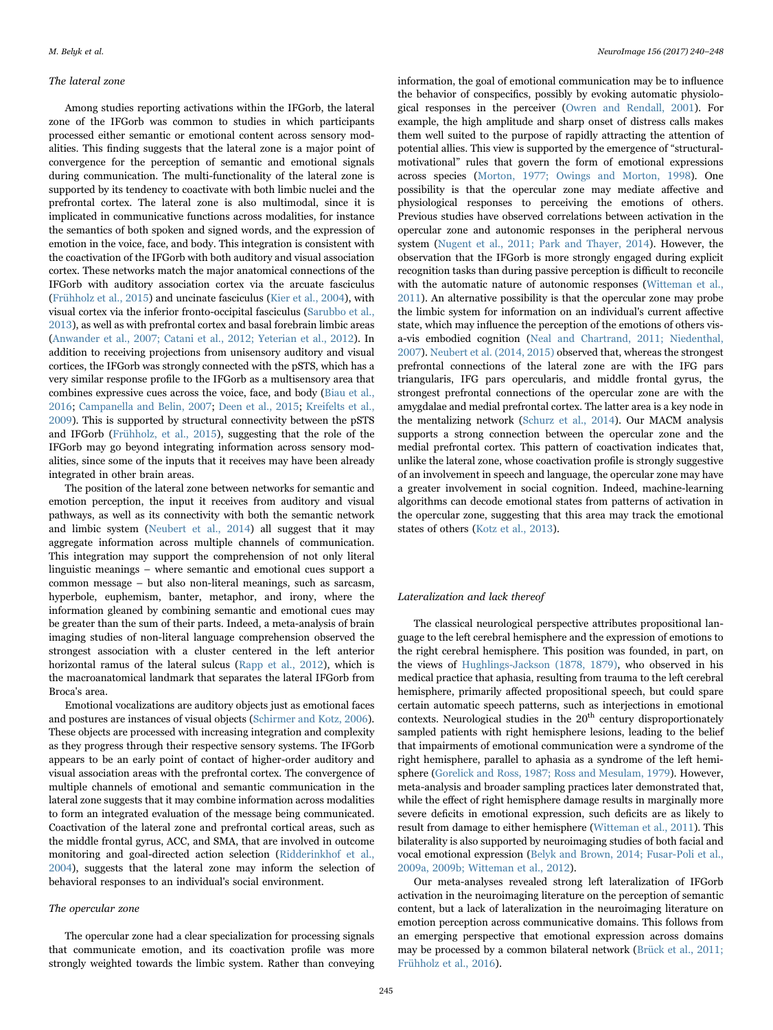#### The lateral zone

Among studies reporting activations within the IFGorb, the lateral zone of the IFGorb was common to studies in which participants processed either semantic or emotional content across sensory modalities. This finding suggests that the lateral zone is a major point of convergence for the perception of semantic and emotional signals during communication. The multi-functionality of the lateral zone is supported by its tendency to coactivate with both limbic nuclei and the prefrontal cortex. The lateral zone is also multimodal, since it is implicated in communicative functions across modalities, for instance the semantics of both spoken and signed words, and the expression of emotion in the voice, face, and body. This integration is consistent with the coactivation of the IFGorb with both auditory and visual association cortex. These networks match the major anatomical connections of the IFGorb with auditory association cortex via the arcuate fasciculus ([Frühholz et al., 2015\)](#page-7-23) and uncinate fasciculus [\(Kier et al., 2004\)](#page-7-24), with visual cortex via the inferior fronto-occipital fasciculus [\(Sarubbo et al.,](#page-7-25) [2013\)](#page-7-25), as well as with prefrontal cortex and basal forebrain limbic areas ([Anwander et al., 2007; Catani et al., 2012; Yeterian et al., 2012\)](#page-6-11). In addition to receiving projections from unisensory auditory and visual cortices, the IFGorb was strongly connected with the pSTS, which has a very similar response profile to the IFGorb as a multisensory area that combines expressive cues across the voice, face, and body [\(Biau et al.,](#page-6-12) [2016;](#page-6-12) [Campanella and Belin, 2007](#page-6-13); [Deen et al., 2015;](#page-6-14) [Kreifelts et al.,](#page-7-26) [2009\)](#page-7-26). This is supported by structural connectivity between the pSTS and IFGorb ([Frühholz, et al., 2015](#page-7-23)), suggesting that the role of the IFGorb may go beyond integrating information across sensory modalities, since some of the inputs that it receives may have been already integrated in other brain areas.

The position of the lateral zone between networks for semantic and emotion perception, the input it receives from auditory and visual pathways, as well as its connectivity with both the semantic network and limbic system ([Neubert et al., 2014\)](#page-7-10) all suggest that it may aggregate information across multiple channels of communication. This integration may support the comprehension of not only literal linguistic meanings – where semantic and emotional cues support a common message – but also non-literal meanings, such as sarcasm, hyperbole, euphemism, banter, metaphor, and irony, where the information gleaned by combining semantic and emotional cues may be greater than the sum of their parts. Indeed, a meta-analysis of brain imaging studies of non-literal language comprehension observed the strongest association with a cluster centered in the left anterior horizontal ramus of the lateral sulcus [\(Rapp et al., 2012](#page-7-27)), which is the macroanatomical landmark that separates the lateral IFGorb from Broca's area.

Emotional vocalizations are auditory objects just as emotional faces and postures are instances of visual objects [\(Schirmer and Kotz, 2006\)](#page-7-28). These objects are processed with increasing integration and complexity as they progress through their respective sensory systems. The IFGorb appears to be an early point of contact of higher-order auditory and visual association areas with the prefrontal cortex. The convergence of multiple channels of emotional and semantic communication in the lateral zone suggests that it may combine information across modalities to form an integrated evaluation of the message being communicated. Coactivation of the lateral zone and prefrontal cortical areas, such as the middle frontal gyrus, ACC, and SMA, that are involved in outcome monitoring and goal-directed action selection [\(Ridderinkhof et al.,](#page-7-29) [2004\)](#page-7-29), suggests that the lateral zone may inform the selection of behavioral responses to an individual's social environment.

#### The opercular zone

The opercular zone had a clear specialization for processing signals that communicate emotion, and its coactivation profile was more strongly weighted towards the limbic system. Rather than conveying information, the goal of emotional communication may be to influence the behavior of conspecifics, possibly by evoking automatic physiological responses in the perceiver [\(Owren and Rendall, 2001](#page-7-0)). For example, the high amplitude and sharp onset of distress calls makes them well suited to the purpose of rapidly attracting the attention of potential allies. This view is supported by the emergence of "structuralmotivational" rules that govern the form of emotional expressions across species [\(Morton, 1977; Owings and Morton, 1998](#page-7-30)). One possibility is that the opercular zone may mediate affective and physiological responses to perceiving the emotions of others. Previous studies have observed correlations between activation in the opercular zone and autonomic responses in the peripheral nervous system ([Nugent et al., 2011; Park and Thayer, 2014](#page-7-31)). However, the observation that the IFGorb is more strongly engaged during explicit recognition tasks than during passive perception is difficult to reconcile with the automatic nature of autonomic responses [\(Witteman et al.,](#page-8-4) [2011\)](#page-8-4). An alternative possibility is that the opercular zone may probe the limbic system for information on an individual's current affective state, which may influence the perception of the emotions of others visa-vis embodied cognition ([Neal and Chartrand, 2011; Niedenthal,](#page-7-32) [2007\)](#page-7-32). [Neubert et al. \(2014, 2015\)](#page-7-10) observed that, whereas the strongest prefrontal connections of the lateral zone are with the IFG pars triangularis, IFG pars opercularis, and middle frontal gyrus, the strongest prefrontal connections of the opercular zone are with the amygdalae and medial prefrontal cortex. The latter area is a key node in the mentalizing network [\(Schurz et al., 2014\)](#page-7-33). Our MACM analysis supports a strong connection between the opercular zone and the medial prefrontal cortex. This pattern of coactivation indicates that, unlike the lateral zone, whose coactivation profile is strongly suggestive of an involvement in speech and language, the opercular zone may have a greater involvement in social cognition. Indeed, machine-learning algorithms can decode emotional states from patterns of activation in the opercular zone, suggesting that this area may track the emotional states of others ([Kotz et al., 2013](#page-7-34)).

### Lateralization and lack thereof

The classical neurological perspective attributes propositional language to the left cerebral hemisphere and the expression of emotions to the right cerebral hemisphere. This position was founded, in part, on the views of [Hughlings-Jackson \(1878, 1879\),](#page-7-35) who observed in his medical practice that aphasia, resulting from trauma to the left cerebral hemisphere, primarily affected propositional speech, but could spare certain automatic speech patterns, such as interjections in emotional contexts. Neurological studies in the  $20<sup>th</sup>$  century disproportionately sampled patients with right hemisphere lesions, leading to the belief that impairments of emotional communication were a syndrome of the right hemisphere, parallel to aphasia as a syndrome of the left hemisphere [\(Gorelick and Ross, 1987; Ross and Mesulam, 1979](#page-7-36)). However, meta-analysis and broader sampling practices later demonstrated that, while the effect of right hemisphere damage results in marginally more severe deficits in emotional expression, such deficits are as likely to result from damage to either hemisphere ([Witteman et al., 2011\)](#page-8-4). This bilaterality is also supported by neuroimaging studies of both facial and vocal emotional expression [\(Belyk and Brown, 2014; Fusar-Poli et al.,](#page-6-1) [2009a, 2009b; Witteman et al., 2012](#page-6-1)).

Our meta-analyses revealed strong left lateralization of IFGorb activation in the neuroimaging literature on the perception of semantic content, but a lack of lateralization in the neuroimaging literature on emotion perception across communicative domains. This follows from an emerging perspective that emotional expression across domains may be processed by a common bilateral network ([Brück et al., 2011;](#page-6-15) [Frühholz et al., 2016\)](#page-6-15).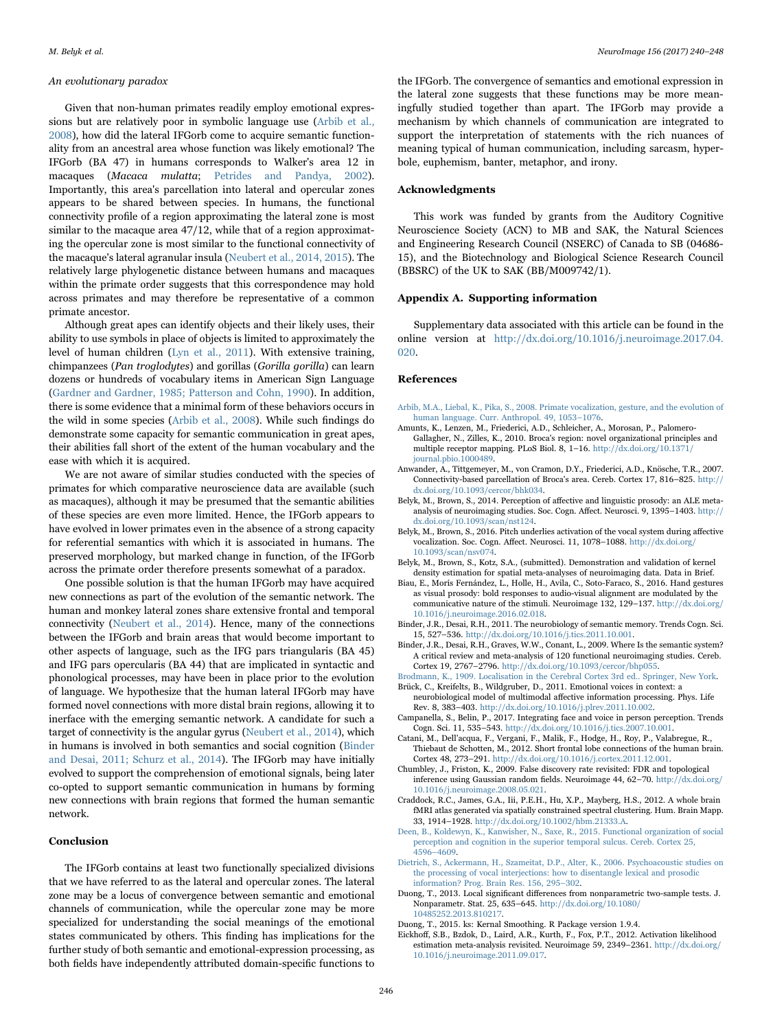#### An evolutionary paradox

Given that non-human primates readily employ emotional expressions but are relatively poor in symbolic language use ([Arbib et al.,](#page-6-16) [2008\)](#page-6-16), how did the lateral IFGorb come to acquire semantic functionality from an ancestral area whose function was likely emotional? The IFGorb (BA 47) in humans corresponds to Walker's area 12 in macaques (Macaca mulatta; [Petrides and Pandya, 2002\)](#page-7-37). Importantly, this area's parcellation into lateral and opercular zones appears to be shared between species. In humans, the functional connectivity profile of a region approximating the lateral zone is most similar to the macaque area 47/12, while that of a region approximating the opercular zone is most similar to the functional connectivity of the macaque's lateral agranular insula [\(Neubert et al., 2014, 2015](#page-7-10)). The relatively large phylogenetic distance between humans and macaques within the primate order suggests that this correspondence may hold across primates and may therefore be representative of a common primate ancestor.

Although great apes can identify objects and their likely uses, their ability to use symbols in place of objects is limited to approximately the level of human children [\(Lyn et al., 2011](#page-7-38)). With extensive training, chimpanzees (Pan troglodytes) and gorillas (Gorilla gorilla) can learn dozens or hundreds of vocabulary items in American Sign Language ([Gardner and Gardner, 1985; Patterson and Cohn, 1990\)](#page-7-39). In addition, there is some evidence that a minimal form of these behaviors occurs in the wild in some species ([Arbib et al., 2008\)](#page-6-16). While such findings do demonstrate some capacity for semantic communication in great apes, their abilities fall short of the extent of the human vocabulary and the ease with which it is acquired.

We are not aware of similar studies conducted with the species of primates for which comparative neuroscience data are available (such as macaques), although it may be presumed that the semantic abilities of these species are even more limited. Hence, the IFGorb appears to have evolved in lower primates even in the absence of a strong capacity for referential semantics with which it is associated in humans. The preserved morphology, but marked change in function, of the IFGorb across the primate order therefore presents somewhat of a paradox.

One possible solution is that the human IFGorb may have acquired new connections as part of the evolution of the semantic network. The human and monkey lateral zones share extensive frontal and temporal connectivity ([Neubert et al., 2014](#page-7-10)). Hence, many of the connections between the IFGorb and brain areas that would become important to other aspects of language, such as the IFG pars triangularis (BA 45) and IFG pars opercularis (BA 44) that are implicated in syntactic and phonological processes, may have been in place prior to the evolution of language. We hypothesize that the human lateral IFGorb may have formed novel connections with more distal brain regions, allowing it to inerface with the emerging semantic network. A candidate for such a target of connectivity is the angular gyrus ([Neubert et al., 2014](#page-7-10)), which in humans is involved in both semantics and social cognition ([Binder](#page-6-17) [and Desai, 2011; Schurz et al., 2014\)](#page-6-17). The IFGorb may have initially evolved to support the comprehension of emotional signals, being later co-opted to support semantic communication in humans by forming new connections with brain regions that formed the human semantic network.

## Conclusion

The IFGorb contains at least two functionally specialized divisions that we have referred to as the lateral and opercular zones. The lateral zone may be a locus of convergence between semantic and emotional channels of communication, while the opercular zone may be more specialized for understanding the social meanings of the emotional states communicated by others. This finding has implications for the further study of both semantic and emotional-expression processing, as both fields have independently attributed domain-specific functions to

the IFGorb. The convergence of semantics and emotional expression in the lateral zone suggests that these functions may be more meaningfully studied together than apart. The IFGorb may provide a mechanism by which channels of communication are integrated to support the interpretation of statements with the rich nuances of meaning typical of human communication, including sarcasm, hyperbole, euphemism, banter, metaphor, and irony.

#### Acknowledgments

This work was funded by grants from the Auditory Cognitive Neuroscience Society (ACN) to MB and SAK, the Natural Sciences and Engineering Research Council (NSERC) of Canada to SB (04686- 15), and the Biotechnology and Biological Science Research Council (BBSRC) of the UK to SAK (BB/M009742/1).

### Appendix A. Supporting information

Supplementary data associated with this article can be found in the online version at [http://dx.doi.org/10.1016/j.neuroimage.2017.04.](http://dx.doi.org/10.1016/j.neuroimage.2017.04.020) [020](http://dx.doi.org/10.1016/j.neuroimage.2017.04.020).

#### References

- <span id="page-6-16"></span>[Arbib, M.A., Liebal, K., Pika, S., 2008. Primate vocalization, gesture, and the evolution of](http://refhub.elsevier.com/S1053-8119(17)30312-9/sbref1) [human language. Curr. Anthropol. 49, 1053](http://refhub.elsevier.com/S1053-8119(17)30312-9/sbref1)–1076.
- <span id="page-6-10"></span>Amunts, K., Lenzen, M., Friederici, A.D., Schleicher, A., Morosan, P., Palomero-Gallagher, N., Zilles, K., 2010. Broca's region: novel organizational principles and multiple receptor mapping. PLoS Biol. 8, 1–16. [http://dx.doi.org/10.1371/](http://dx.doi.org/10.1371/journal.pbio.1000489) [journal.pbio.1000489](http://dx.doi.org/10.1371/journal.pbio.1000489).
- <span id="page-6-11"></span>Anwander, A., Tittgemeyer, M., von Cramon, D.Y., Friederici, A.D., Knösche, T.R., 2007. Connectivity-based parcellation of Broca's area. Cereb. Cortex 17, 816–825. [http://](http://dx.doi.org/10.1093/cercor/bhk034) [dx.doi.org/10.1093/cercor/bhk034](http://dx.doi.org/10.1093/cercor/bhk034).
- <span id="page-6-1"></span>Belyk, M., Brown, S., 2014. Perception of affective and linguistic prosody: an ALE metaanalysis of neuroimaging studies. Soc. Cogn. Affect. Neurosci. 9, 1395–1403. [http://](http://dx.doi.org/10.1093/scan/nst124) [dx.doi.org/10.1093/scan/nst124](http://dx.doi.org/10.1093/scan/nst124).
- <span id="page-6-3"></span>Belyk, M., Brown, S., 2016. Pitch underlies activation of the vocal system during affective vocalization. Soc. Cogn. Affect. Neurosci. 11, 1078–1088. [http://dx.doi.org/](http://dx.doi.org/10.1093/scan/nsv074) [10.1093/scan/nsv074.](http://dx.doi.org/10.1093/scan/nsv074)
- <span id="page-6-7"></span>Belyk, M., Brown, S., Kotz, S.A., (submitted). Demonstration and validation of kernel density estimation for spatial meta-analyses of neuroimaging data. Data in Brief.
- <span id="page-6-12"></span>Biau, E., Morís Fernández, L., Holle, H., Avila, C., Soto-Faraco, S., 2016. Hand gestures as visual prosody: bold responses to audio-visual alignment are modulated by the communicative nature of the stimuli. Neuroimage 132, 129–137. [http://dx.doi.org/](http://dx.doi.org/10.1016/j.neuroimage.2016.02.018) [10.1016/j.neuroimage.2016.02.018](http://dx.doi.org/10.1016/j.neuroimage.2016.02.018).
- <span id="page-6-17"></span>Binder, J.R., Desai, R.H., 2011. The neurobiology of semantic memory. Trends Cogn. Sci. 15, 527–536. <http://dx.doi.org/10.1016/j.tics.2011.10.001>.
- <span id="page-6-2"></span>Binder, J.R., Desai, R.H., Graves, W.W., Conant, L., 2009. Where Is the semantic system? A critical review and meta-analysis of 120 functional neuroimaging studies. Cereb. Cortex 19, 2767–2796. [http://dx.doi.org/10.1093/cercor/bhp055.](http://dx.doi.org/10.1093/cercor/bhp055)
- <span id="page-6-15"></span><span id="page-6-4"></span>[Brodmann, K., 1909. Localisation in the Cerebral Cortex 3rd ed.. Springer, New York.](http://refhub.elsevier.com/S1053-8119(17)30312-9/sbref9) Brück, C., Kreifelts, B., Wildgruber, D., 2011. Emotional voices in context: a
- neurobiological model of multimodal affective information processing. Phys. Life Rev. 8, 383–403. [http://dx.doi.org/10.1016/j.plrev.2011.10.002.](http://dx.doi.org/10.1016/j.plrev.2011.10.002)
- <span id="page-6-13"></span>Campanella, S., Belin, P., 2017. Integrating face and voice in person perception. Trends Cogn. Sci. 11, 535–543. [http://dx.doi.org/10.1016/j.tics.2007.10.001.](http://dx.doi.org/10.1016/j.tics.2007.10.001)
- Catani, M., Dell'acqua, F., Vergani, F., Malik, F., Hodge, H., Roy, P., Valabregue, R., Thiebaut de Schotten, M., 2012. Short frontal lobe connections of the human brain. Cortex 48, 273–291. [http://dx.doi.org/10.1016/j.cortex.2011.12.001.](http://dx.doi.org/10.1016/j.cortex.2011.12.001)
- <span id="page-6-9"></span>Chumbley, J., Friston, K., 2009. False discovery rate revisited: FDR and topological inference using Gaussian random fields. Neuroimage 44, 62–70. [http://dx.doi.org/](http://dx.doi.org/10.1016/j.neuroimage.2008.05.021) [10.1016/j.neuroimage.2008.05.021](http://dx.doi.org/10.1016/j.neuroimage.2008.05.021).
- <span id="page-6-5"></span>Craddock, R.C., James, G.A., Iii, P.E.H., Hu, X.P., Mayberg, H.S., 2012. A whole brain fMRI atlas generated via spatially constrained spectral clustering. Hum. Brain Mapp. 33, 1914–1928. <http://dx.doi.org/10.1002/hbm.21333.A>.
- <span id="page-6-14"></span>Deen, [B., Koldewyn, K., Kanwisher, N., Saxe, R., 2015. Functional organization of social](http://refhub.elsevier.com/S1053-8119(17)30312-9/sbref15) [perception and cognition in the superior temporal sulcus. Cereb. Cortex 25,](http://refhub.elsevier.com/S1053-8119(17)30312-9/sbref15) 4596–[4609](http://refhub.elsevier.com/S1053-8119(17)30312-9/sbref15).
- <span id="page-6-0"></span>[Dietrich, S., Ackermann, H., Szameitat, D.P., Alter, K., 2006. Psychoacoustic studies on](http://refhub.elsevier.com/S1053-8119(17)30312-9/sbref16) [the processing of vocal interjections: how to disentangle lexical and prosodic](http://refhub.elsevier.com/S1053-8119(17)30312-9/sbref16) [information? Prog. Brain Res. 156, 295](http://refhub.elsevier.com/S1053-8119(17)30312-9/sbref16)–302.
- <span id="page-6-6"></span>Duong, T., 2013. Local significant differences from nonparametric two-sample tests. J. Nonparametr. Stat. 25, 635–645. [http://dx.doi.org/10.1080/](http://dx.doi.org/10.1080/10485252.2013.810217) [10485252.2013.810217.](http://dx.doi.org/10.1080/10485252.2013.810217)
- Duong, T., 2015. ks: Kernal Smoothing. R Package version 1.9.4.

<span id="page-6-8"></span>Eickhoff, S.B., Bzdok, D., Laird, A.R., Kurth, F., Fox, P.T., 2012. Activation likelihood estimation meta-analysis revisited. Neuroimage 59, 2349–2361. [http://dx.doi.org/](http://dx.doi.org/10.1016/j.neuroimage.2011.09.017) [10.1016/j.neuroimage.2011.09.017](http://dx.doi.org/10.1016/j.neuroimage.2011.09.017).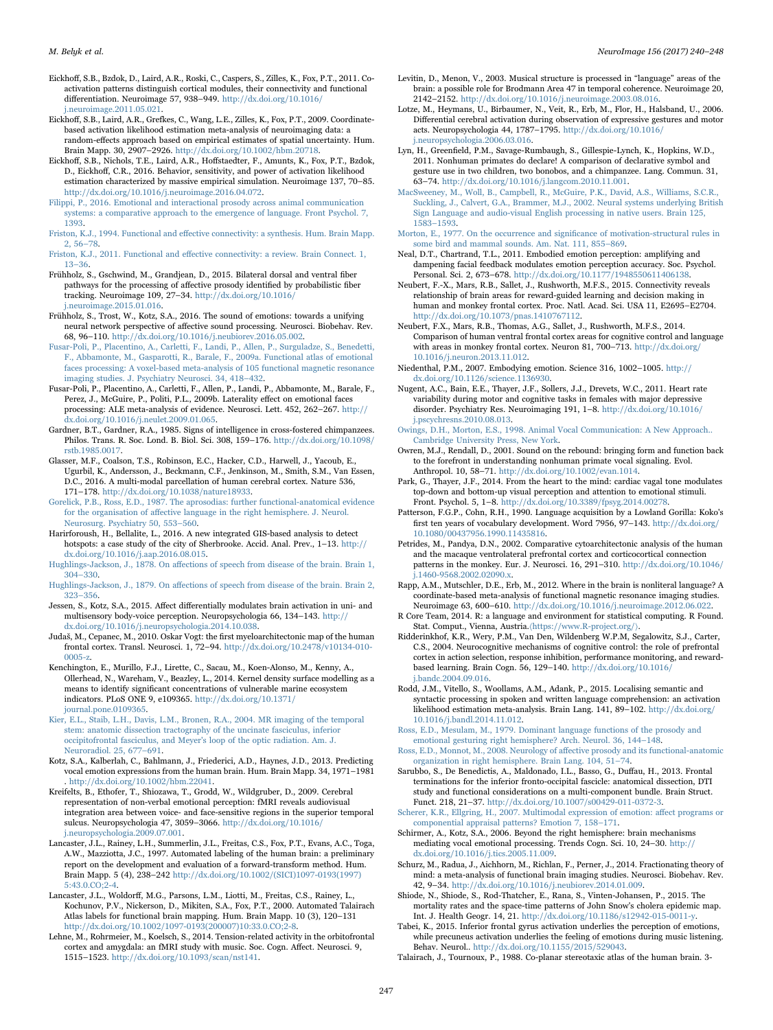<span id="page-7-18"></span>Eickhoff, S.B., Bzdok, D., Laird, A.R., Roski, C., Caspers, S., Zilles, K., Fox, P.T., 2011. Coactivation patterns distinguish cortical modules, their connectivity and functional differentiation. Neuroimage 57, 938–949. [http://dx.doi.org/10.1016/](http://dx.doi.org/10.1016/j.neuroimage.2011.05.021) [j.neuroimage.2011.05.021](http://dx.doi.org/10.1016/j.neuroimage.2011.05.021).

<span id="page-7-19"></span>Eickhoff, S.B., Laird, A.R., Grefkes, C., Wang, L.E., Zilles, K., Fox, P.T., 2009. Coordinatebased activation likelihood estimation meta-analysis of neuroimaging data: a random-effects approach based on empirical estimates of spatial uncertainty. Hum. Brain Mapp. 30, 2907–2926. <http://dx.doi.org/10.1002/hbm.20718>.

<span id="page-7-20"></span>Eickhoff, S.B., Nichols, T.E., Laird, A.R., Hoffstaedter, F., Amunts, K., Fox, P.T., Bzdok, D., Eickhoff, C.R., 2016. Behavior, sensitivity, and power of activation likelihood estimation characterized by massive empirical simulation. Neuroimage 137, 70–85. [http://dx.doi.org/10.1016/j.neuroimage.2016.04.072.](http://dx.doi.org/10.1016/j.neuroimage.2016.04.072)

[Filippi, P., 2016. Emotional and interactional prosody across animal communication](http://refhub.elsevier.com/S1053-8119(17)30312-9/sbref22) [systems: a comparative approach to the emergence of language. Front Psychol. 7,](http://refhub.elsevier.com/S1053-8119(17)30312-9/sbref22) [1393.](http://refhub.elsevier.com/S1053-8119(17)30312-9/sbref22)

<span id="page-7-21"></span>Friston, K.J., 1994. Functional and eff[ective connectivity: a synthesis. Hum. Brain Mapp.](http://refhub.elsevier.com/S1053-8119(17)30312-9/sbref23) [2, 56](http://refhub.elsevier.com/S1053-8119(17)30312-9/sbref23)–78.

Friston, K.J., 2011. Functional and eff[ective connectivity: a review. Brain Connect. 1,](http://refhub.elsevier.com/S1053-8119(17)30312-9/sbref24) 13–[36](http://refhub.elsevier.com/S1053-8119(17)30312-9/sbref24).

<span id="page-7-23"></span>Frühholz, S., Gschwind, M., Grandjean, D., 2015. Bilateral dorsal and ventral fiber pathways for the processing of affective prosody identified by probabilistic fiber tracking. Neuroimage 109, 27–34. [http://dx.doi.org/10.1016/](http://dx.doi.org/10.1016/j.neuroimage.2015.01.016) [j.neuroimage.2015.01.016](http://dx.doi.org/10.1016/j.neuroimage.2015.01.016).

<span id="page-7-2"></span>Frühholz, S., Trost, W., Kotz, S.A., 2016. The sound of emotions: towards a unifying neural network perspective of affective sound processing. Neurosci. Biobehav. Rev. 68, 96–110. <http://dx.doi.org/10.1016/j.neubiorev.2016.05.002>.

<span id="page-7-3"></span>[Fusar-Poli, P., Placentino, A., Carletti, F., Landi, P., Allen, P., Surguladze, S., Benedetti,](http://refhub.elsevier.com/S1053-8119(17)30312-9/sbref27) [F., Abbamonte, M., Gasparotti, R., Barale, F., 2009a. Functional atlas of emotional](http://refhub.elsevier.com/S1053-8119(17)30312-9/sbref27) [faces processing: A voxel-based meta-analysis of 105 functional magnetic resonance](http://refhub.elsevier.com/S1053-8119(17)30312-9/sbref27) [imaging studies. J. Psychiatry Neurosci. 34, 418](http://refhub.elsevier.com/S1053-8119(17)30312-9/sbref27)–432.

Fusar-Poli, P., Placentino, A., Carletti, F., Allen, P., Landi, P., Abbamonte, M., Barale, F., Perez, J., McGuire, P., Politi, P.L., 2009b. Laterality effect on emotional faces processing: ALE meta-analysis of evidence. Neurosci. Lett. 452, 262–267. [http://](http://dx.doi.org/10.1016/j.neulet.2009.01.065) [dx.doi.org/10.1016/j.neulet.2009.01.065](http://dx.doi.org/10.1016/j.neulet.2009.01.065).

<span id="page-7-39"></span>Gardner, B.T., Gardner, R.A., 1985. Signs of intelligence in cross-fostered chimpanzees. Philos. Trans. R. Soc. Lond. B. Biol. Sci. 308, 159–176. [http://dx.doi.org/10.1098/](http://dx.doi.org/10.1098/rstb.1985.0017) [rstb.1985.0017.](http://dx.doi.org/10.1098/rstb.1985.0017)

<span id="page-7-22"></span>Glasser, M.F., Coalson, T.S., Robinson, E.C., Hacker, C.D., Harwell, J., Yacoub, E., Ugurbil, K., Andersson, J., Beckmann, C.F., Jenkinson, M., Smith, S.M., Van Essen, D.C., 2016. A multi-modal parcellation of human cerebral cortex. Nature 536, 171–178. <http://dx.doi.org/10.1038/nature18933>.

<span id="page-7-36"></span>[Gorelick, P.B., Ross, E.D., 1987. The aprosodias: further functional-anatomical evidence](http://refhub.elsevier.com/S1053-8119(17)30312-9/sbref31) for the organisation of aff[ective language in the right hemisphere. J. Neurol.](http://refhub.elsevier.com/S1053-8119(17)30312-9/sbref31) [Neurosurg. Psychiatry 50, 553](http://refhub.elsevier.com/S1053-8119(17)30312-9/sbref31)–560.

<span id="page-7-15"></span>Harirforoush, H., Bellalite, L., 2016. A new integrated GIS-based analysis to detect hotspots: a case study of the city of Sherbrooke. Accid. Anal. Prev., 1–13. [http://](http://dx.doi.org/10.1016/j.aap.2016.08.015) [dx.doi.org/10.1016/j.aap.2016.08.015.](http://dx.doi.org/10.1016/j.aap.2016.08.015)

<span id="page-7-35"></span>Hughlings-Jackson, J., 1878. On aff[ections of speech from disease of the brain. Brain 1,](http://refhub.elsevier.com/S1053-8119(17)30312-9/sbref33) 304–[330](http://refhub.elsevier.com/S1053-8119(17)30312-9/sbref33).

Hughlings-Jackson, J., 1879. On aff[ections of speech from disease of the brain. Brain 2,](http://refhub.elsevier.com/S1053-8119(17)30312-9/sbref34) 323–[356](http://refhub.elsevier.com/S1053-8119(17)30312-9/sbref34).

<span id="page-7-4"></span>Jessen, S., Kotz, S.A., 2015. Affect differentially modulates brain activation in uni- and multisensory body-voice perception. Neuropsychologia 66, 134–143. [http://](http://dx.doi.org/10.1016/j.neuropsychologia.2014.10.038) [dx.doi.org/10.1016/j.neuropsychologia.2014.10.038](http://dx.doi.org/10.1016/j.neuropsychologia.2014.10.038).

<span id="page-7-9"></span>Judaš, M., Cepanec, M., 2010. Oskar Vogt: the first myeloarchitectonic map of the human frontal cortex. Transl. Neurosci. 1, 72–94. [http://dx.doi.org/10.2478/v10134-010-](http://dx.doi.org/10.2478/v10134-010-0005-z) [0005-z](http://dx.doi.org/10.2478/v10134-010-0005-z).

<span id="page-7-16"></span>Kenchington, E., Murillo, F.J., Lirette, C., Sacau, M., Koen-Alonso, M., Kenny, A., Ollerhead, N., Wareham, V., Beazley, L., 2014. Kernel density surface modelling as a means to identify significant concentrations of vulnerable marine ecosystem indicators. PLoS ONE 9, e109365. [http://dx.doi.org/10.1371/](http://dx.doi.org/10.1371/journal.pone.0109365) [journal.pone.0109365](http://dx.doi.org/10.1371/journal.pone.0109365).

<span id="page-7-24"></span>[Kier, E.L., Staib, L.H., Davis, L.M., Bronen, R.A., 2004. MR imaging of the temporal](http://refhub.elsevier.com/S1053-8119(17)30312-9/sbref38) [stem: anatomic dissection tractography of the uncinate fasciculus, inferior](http://refhub.elsevier.com/S1053-8119(17)30312-9/sbref38) [occipitofrontal fasciculus, and Meyer's loop of the optic radiation. Am. J.](http://refhub.elsevier.com/S1053-8119(17)30312-9/sbref38) [Neuroradiol. 25, 677](http://refhub.elsevier.com/S1053-8119(17)30312-9/sbref38)–691.

<span id="page-7-34"></span>Kotz, S.A., Kalberlah, C., Bahlmann, J., Friederici, A.D., Haynes, J.D., 2013. Predicting vocal emotion expressions from the human brain. Hum. Brain Mapp. 34, 1971–1981 . [http://dx.doi.org/10.1002/hbm.22041.](http://dx.doi.org/10.1002/hbm.22041)

<span id="page-7-26"></span>Kreifelts, B., Ethofer, T., Shiozawa, T., Grodd, W., Wildgruber, D., 2009. Cerebral representation of non-verbal emotional perception: fMRI reveals audiovisual integration area between voice- and face-sensitive regions in the superior temporal sulcus. Neuropsychologia 47, 3059–3066. [http://dx.doi.org/10.1016/](http://dx.doi.org/10.1016/j.neuropsychologia.2009.07.001) [j.neuropsychologia.2009.07.001](http://dx.doi.org/10.1016/j.neuropsychologia.2009.07.001).

<span id="page-7-12"></span>Lancaster, J.L., Rainey, L.H., Summerlin, J.L., Freitas, C.S., Fox, P.T., Evans, A.C., Toga, A.W., Mazziotta, J.C., 1997. Automated labeling of the human brain: a preliminary report on the development and evaluation of a forward-transform method. Hum. Brain Mapp. 5 (4), 238–242 [http://dx.doi.org/10.1002/\(SICI\)1097-0193\(1997\)](http://dx.doi.org/10.1002/(SICI)1097-0193(1997)5:43.0.CO;2-4) [5:43.0.CO;2-4.](http://dx.doi.org/10.1002/(SICI)1097-0193(1997)5:43.0.CO;2-4)

<span id="page-7-13"></span>Lancaster, J.L., Woldorff, M.G., Parsons, L.M., Liotti, M., Freitas, C.S., Rainey, L., Kochunov, P.V., Nickerson, D., Mikiten, S.A., Fox, P.T., 2000. Automated Talairach Atlas labels for functional brain mapping. Hum. Brain Mapp. 10 (3), 120–131 [http://dx.doi.org/10.1002/1097-0193\(200007\)10:33.0.CO;2-8](http://dx.doi.org/10.1002/1097-0193(200007)10:33.0.CO;2-8).

<span id="page-7-5"></span>Lehne, M., Rohrmeier, M., Koelsch, S., 2014. Tension-related activity in the orbitofrontal cortex and amygdala: an fMRI study with music. Soc. Cogn. Affect. Neurosci. 9, 1515–1523. [http://dx.doi.org/10.1093/scan/nst141.](http://dx.doi.org/10.1093/scan/nst141)

<span id="page-7-6"></span>Levitin, D., Menon, V., 2003. Musical structure is processed in "language" areas of the brain: a possible role for Brodmann Area 47 in temporal coherence. Neuroimage 20, 2142–2152. <http://dx.doi.org/10.1016/j.neuroimage.2003.08.016>.

<span id="page-7-7"></span>Lotze, M., Heymans, U., Birbaumer, N., Veit, R., Erb, M., Flor, H., Halsband, U., 2006. Differential cerebral activation during observation of expressive gestures and motor acts. Neuropsychologia 44, 1787–1795. [http://dx.doi.org/10.1016/](http://dx.doi.org/10.1016/j.neuropsychologia.2006.03.016) [j.neuropsychologia.2006.03.016](http://dx.doi.org/10.1016/j.neuropsychologia.2006.03.016).

<span id="page-7-38"></span>Lyn, H., Greenfield, P.M., Savage-Rumbaugh, S., Gillespie-Lynch, K., Hopkins, W.D., 2011. Nonhuman primates do declare! A comparison of declarative symbol and gesture use in two children, two bonobos, and a chimpanzee. Lang. Commun. 31, 63–74. <http://dx.doi.org/10.1016/j.langcom.2010.11.001>.

[MacSweeney, M., Woll, B., Campbell, R., McGuire, P.K., David, A.S., Williams, S.C.R.,](http://refhub.elsevier.com/S1053-8119(17)30312-9/sbref47) [Suckling, J., Calvert, G.A., Brammer, M.J., 2002. Neural systems underlying British](http://refhub.elsevier.com/S1053-8119(17)30312-9/sbref47) [Sign Language and audio-visual English processing in native users. Brain 125,](http://refhub.elsevier.com/S1053-8119(17)30312-9/sbref47) 1583–[1593](http://refhub.elsevier.com/S1053-8119(17)30312-9/sbref47).

<span id="page-7-30"></span>[Morton, E., 1977. On the occurrence and signi](http://refhub.elsevier.com/S1053-8119(17)30312-9/sbref48)ficance of motivation-structural rules in [some bird and mammal sounds. Am. Nat. 111, 855](http://refhub.elsevier.com/S1053-8119(17)30312-9/sbref48)–869.

<span id="page-7-32"></span>Neal, D.T., Chartrand, T.L., 2011. Embodied emotion perception: amplifying and dampening facial feedback modulates emotion perception accuracy. Soc. Psychol. Personal. Sci. 2, 673–678. <http://dx.doi.org/10.1177/1948550611406138>.

Neubert, F.-X., Mars, R.B., Sallet, J., Rushworth, M.F.S., 2015. Connectivity reveals relationship of brain areas for reward-guided learning and decision making in human and monkey frontal cortex. Proc. Natl. Acad. Sci. USA 11, E2695–E2704. <http://dx.doi.org/10.1073/pnas.1410767112>.

<span id="page-7-10"></span>Neubert, F.X., Mars, R.B., Thomas, A.G., Sallet, J., Rushworth, M.F.S., 2014. Comparison of human ventral frontal cortex areas for cognitive control and language with areas in monkey frontal cortex. Neuron 81, 700–713. [http://dx.doi.org/](http://dx.doi.org/10.1016/j.neuron.2013.11.012) [10.1016/j.neuron.2013.11.012](http://dx.doi.org/10.1016/j.neuron.2013.11.012).

Niedenthal, P.M., 2007. Embodying emotion. Science 316, 1002–1005. [http://](http://dx.doi.org/10.1126/science.1136930) [dx.doi.org/10.1126/science.1136930.](http://dx.doi.org/10.1126/science.1136930)

<span id="page-7-31"></span>Nugent, A.C., Bain, E.E., Thayer, J.F., Sollers, J.J., Drevets, W.C., 2011. Heart rate variability during motor and cognitive tasks in females with major depressive disorder. Psychiatry Res. Neuroimaging 191, 1–8. [http://dx.doi.org/10.1016/](http://dx.doi.org/10.1016/j.pscychresns.2010.08.013) [j.pscychresns.2010.08.013.](http://dx.doi.org/10.1016/j.pscychresns.2010.08.013)

[Owings, D.H., Morton, E.S., 1998. Animal Vocal Communication: A New Approach..](http://refhub.elsevier.com/S1053-8119(17)30312-9/sbref54) [Cambridge University Press, New York](http://refhub.elsevier.com/S1053-8119(17)30312-9/sbref54).

<span id="page-7-0"></span>Owren, M.J., Rendall, D., 2001. Sound on the rebound: bringing form and function back to the forefront in understanding nonhuman primate vocal signaling. Evol. Anthropol. 10, 58–71. [http://dx.doi.org/10.1002/evan.1014.](http://dx.doi.org/10.1002/evan.1014)

Park, G., Thayer, J.F., 2014. From the heart to the mind: cardiac vagal tone modulates top-down and bottom-up visual perception and attention to emotional stimuli. Front. Psychol. 5, 1–8. <http://dx.doi.org/10.3389/fpsyg.2014.00278>.

Patterson, F.G.P., Cohn, R.H., 1990. Language acquisition by a Lowland Gorilla: Koko's first ten years of vocabulary development. Word 7956, 97–143. [http://dx.doi.org/](http://dx.doi.org/10.1080/00437956.1990.11435816) [10.1080/00437956.1990.11435816](http://dx.doi.org/10.1080/00437956.1990.11435816).

<span id="page-7-37"></span>Petrides, M., Pandya, D.N., 2002. Comparative cytoarchitectonic analysis of the human and the macaque ventrolateral prefrontal cortex and corticocortical connection patterns in the monkey. Eur. J. Neurosci. 16, 291–310. [http://dx.doi.org/10.1046/](http://dx.doi.org/10.1046/j.1460-9568.2002.02090.x) [j.1460-9568.2002.02090.x.](http://dx.doi.org/10.1046/j.1460-9568.2002.02090.x)

<span id="page-7-27"></span>Rapp, A.M., Mutschler, D.E., Erb, M., 2012. Where in the brain is nonliteral language? A coordinate-based meta-analysis of functional magnetic resonance imaging studies. Neuroimage 63, 600–610. <http://dx.doi.org/10.1016/j.neuroimage.2012.06.022>.

<span id="page-7-14"></span>R Core Team, 2014. R: a language and environment for statistical computing. R Found. Stat. Comput., Vienna, Austria.〈[https://www.R-project.org/](http://https://www.R-project.org/)〉.

<span id="page-7-29"></span>Ridderinkhof, K.R., Wery, P.M., Van Den, Wildenberg W.P.M, Segalowitz, S.J., Carter, C.S., 2004. Neurocognitive mechanisms of cognitive control: the role of prefrontal cortex in action selection, response inhibition, performance monitoring, and rewardbased learning. Brain Cogn. 56, 129–140. [http://dx.doi.org/10.1016/](http://dx.doi.org/10.1016/j.bandc.2004.09.016) [j.bandc.2004.09.016.](http://dx.doi.org/10.1016/j.bandc.2004.09.016)

Rodd, J.M., Vitello, S., Woollams, A.M., Adank, P., 2015. Localising semantic and syntactic processing in spoken and written language comprehension: an activation likelihood estimation meta-analysis. Brain Lang. 141, 89–102. [http://dx.doi.org/](http://dx.doi.org/10.1016/j.bandl.2014.11.012) [10.1016/j.bandl.2014.11.012.](http://dx.doi.org/10.1016/j.bandl.2014.11.012)

<span id="page-7-1"></span>[Ross, E.D., Mesulam, M., 1979. Dominant language functions of the prosody and](http://refhub.elsevier.com/S1053-8119(17)30312-9/sbref63) [emotional gesturing right hemisphere? Arch. Neurol. 36, 144](http://refhub.elsevier.com/S1053-8119(17)30312-9/sbref63)–148.

[Ross, E.D., Monnot, M., 2008. Neurology of a](http://refhub.elsevier.com/S1053-8119(17)30312-9/sbref64)ffective prosody and its functional-anatomic [organization in right hemisphere. Brain Lang. 104, 51](http://refhub.elsevier.com/S1053-8119(17)30312-9/sbref64)–74.

<span id="page-7-25"></span>Sarubbo, S., De Benedictis, A., Maldonado, I.L., Basso, G., Duffau, H., 2013. Frontal terminations for the inferior fronto-occipital fascicle: anatomical dissection, DTI study and functional considerations on a multi-component bundle. Brain Struct. Funct. 218, 21–37. [http://dx.doi.org/10.1007/s00429-011-0372-3.](http://dx.doi.org/10.1007/s00429-011-0372-3)

[Scherer, K.R., Ellgring, H., 2007. Multimodal expression of emotion: a](http://refhub.elsevier.com/S1053-8119(17)30312-9/sbref66)ffect programs or [componential appraisal patterns? Emotion 7, 158](http://refhub.elsevier.com/S1053-8119(17)30312-9/sbref66)–171.

- <span id="page-7-28"></span>Schirmer, A., Kotz, S.A., 2006. Beyond the right hemisphere: brain mechanisms mediating vocal emotional processing. Trends Cogn. Sci. 10, 24–30. [http://](http://dx.doi.org/10.1016/j.tics.2005.11.009) [dx.doi.org/10.1016/j.tics.2005.11.009](http://dx.doi.org/10.1016/j.tics.2005.11.009).
- <span id="page-7-33"></span>Schurz, M., Radua, J., Aichhorn, M., Richlan, F., Perner, J., 2014. Fractionating theory of mind: a meta-analysis of functional brain imaging studies. Neurosci. Biobehav. Rev. 42, 9–34. <http://dx.doi.org/10.1016/j.neubiorev.2014.01.009>.
- <span id="page-7-17"></span>Shiode, N., Shiode, S., Rod-Thatcher, E., Rana, S., Vinten-Johansen, P., 2015. The mortality rates and the space-time patterns of John Snow's cholera epidemic map. Int. J. Health Geogr. 14, 21. [http://dx.doi.org/10.1186/s12942-015-0011-y.](http://dx.doi.org/10.1186/s12942-015-0011-y)

<span id="page-7-8"></span>Tabei, K., 2015. Inferior frontal gyrus activation underlies the perception of emotions, while precuneus activation underlies the feeling of emotions during music listening. Behav. Neurol.. <http://dx.doi.org/10.1155/2015/529043>.

<span id="page-7-11"></span>Talairach, J., Tournoux, P., 1988. Co-planar stereotaxic atlas of the human brain. 3-